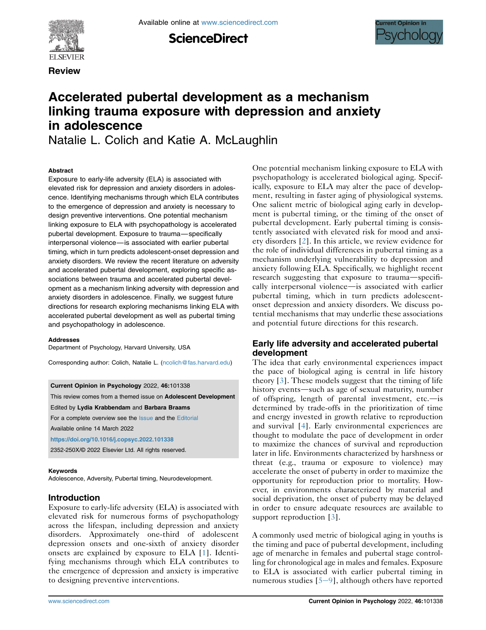**ScienceDirect** 



**Review** 



# Accelerated pubertal development as a mechanism linking trauma exposure with depression and anxiety in adolescence

Natalie L. Colich and Katie A. McLaughlin

#### **Abstract**

Exposure to early-life adversity (ELA) is associated with elevated risk for depression and anxiety disorders in adolescence. Identifying mechanisms through which ELA contributes to the emergence of depression and anxiety is necessary to design preventive interventions. One potential mechanism linking exposure to ELA with psychopathology is accelerated pubertal development. Exposure to trauma—specifically interpersonal violence—is associated with earlier pubertal timing, which in turn predicts adolescent-onset depression and anxiety disorders. We review the recent literature on adversity and accelerated pubertal development, exploring specific associations between trauma and accelerated pubertal development as a mechanism linking adversity with depression and anxiety disorders in adolescence. Finally, we suggest future directions for research exploring mechanisms linking ELA with accelerated pubertal development as well as pubertal timing and psychopathology in adolescence.

#### Addresses

Department of Psychology, Harvard University, USA

Corresponding author: Colich, Natalie L. [\(ncolich@fas.harvard.edu](mailto:ncolich@fas.harvard.edu))

Current Opinion in Psychology 2022, 46:101338

This review comes from a themed issue on Adolescent Development

Edited by Lydia Krabbendam and Barbara Braams

For a complete overview see the [Issue](http://www.sciencedirect.com/science/journal/18796257/vol/issue) and the [Editorial](https://doi.org/10.1016/j.copsyc.2022.101338)

Available online 14 March 2022

<https://doi.org/10.1016/j.copsyc.2022.101338>

2352-250X/© 2022 Elsevier Ltd. All rights reserved.

#### Keywords

Adolescence, Adversity, Pubertal timing, Neurodevelopment.

### Introduction

Exposure to early-life adversity (ELA) is associated with elevated risk for numerous forms of psychopathology across the lifespan, including depression and anxiety disorders. Approximately one-third of adolescent depression onsets and one-sixth of anxiety disorder onsets are explained by exposure to ELA [[1\]](#page-3-0). Identifying mechanisms through which ELA contributes to the emergence of depression and anxiety is imperative to designing preventive interventions.

One potential mechanism linking exposure to ELA with psychopathology is accelerated biological aging. Specifically, exposure to ELA may alter the pace of development, resulting in faster aging of physiological systems. One salient metric of biological aging early in development is pubertal timing, or the timing of the onset of pubertal development. Early pubertal timing is consistently associated with elevated risk for mood and anxiety disorders [[2\]](#page-3-1). In this article, we review evidence for the role of individual differences in pubertal timing as a mechanism underlying vulnerability to depression and anxiety following ELA. Specifically, we highlight recent research suggesting that exposure to trauma-specifically interpersonal violence—is associated with earlier pubertal timing, which in turn predicts adolescentonset depression and anxiety disorders. We discuss potential mechanisms that may underlie these associations and potential future directions for this research.

### Early life adversity and accelerated pubertal development

The idea that early environmental experiences impact the pace of biological aging is central in life history theory [[3\]](#page-4-0). These models suggest that the timing of life history events—such as age of sexual maturity, number of offspring, length of parental investment,  $etc.-is$ determined by trade-offs in the prioritization of time and energy invested in growth relative to reproduction and survival [[4\]](#page-4-1). Early environmental experiences are thought to modulate the pace of development in order to maximize the chances of survival and reproduction later in life. Environments characterized by harshness or threat (e.g., trauma or exposure to violence) may accelerate the onset of puberty in order to maximize the opportunity for reproduction prior to mortality. However, in environments characterized by material and social deprivation, the onset of puberty may be delayed in order to ensure adequate resources are available to support reproduction [\[3](#page-4-0)].

A commonly used metric of biological aging in youths is the timing and pace of pubertal development, including age of menarche in females and pubertal stage controlling for chronological age in males and females. Exposure to ELA is associated with earlier pubertal timing in numerous studies  $[5-9]$  $[5-9]$  $[5-9]$ , although others have reported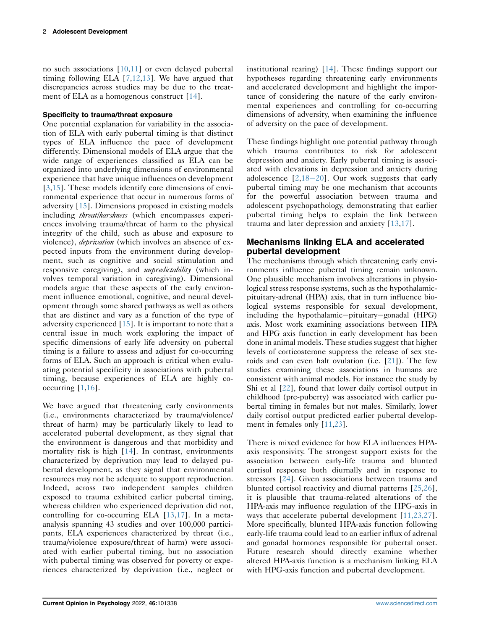no such associations [\[10](#page-4-3)[,11\]](#page-4-4) or even delayed pubertal timing following ELA [[7](#page-4-5)[,12](#page-4-6)[,13\]](#page-4-7). We have argued that discrepancies across studies may be due to the treat-ment of ELA as a homogenous construct [\[14\]](#page-4-8).

### Specificity to trauma/threat exposure

One potential explanation for variability in the association of ELA with early pubertal timing is that distinct types of ELA influence the pace of development differently. Dimensional models of ELA argue that the wide range of experiences classified as ELA can be organized into underlying dimensions of environmental experience that have unique influences on development [\[3](#page-4-0),[15](#page-4-9)]. These models identify core dimensions of environmental experience that occur in numerous forms of adversity [\[15\]](#page-4-9). Dimensions proposed in existing models including threat/harshness (which encompasses experiences involving trauma/threat of harm to the physical integrity of the child, such as abuse and exposure to violence), *deprivation* (which involves an absence of expected inputs from the environment during development, such as cognitive and social stimulation and responsive caregiving), and *unpredictability* (which involves temporal variation in caregiving). Dimensional models argue that these aspects of the early environment influence emotional, cognitive, and neural development through some shared pathways as well as others that are distinct and vary as a function of the type of adversity experienced [[15](#page-4-9)]. It is important to note that a central issue in much work exploring the impact of specific dimensions of early life adversity on pubertal timing is a failure to assess and adjust for co-occurring forms of ELA. Such an approach is critical when evaluating potential specificity in associations with pubertal timing, because experiences of ELA are highly cooccurring [\[1](#page-3-0),[16](#page-4-10)].

We have argued that threatening early environments (i.e., environments characterized by trauma/violence/ threat of harm) may be particularly likely to lead to accelerated pubertal development, as they signal that the environment is dangerous and that morbidity and mortality risk is high [\[14](#page-4-8)]. In contrast, environments characterized by deprivation may lead to delayed pubertal development, as they signal that environmental resources may not be adequate to support reproduction. Indeed, across two independent samples children exposed to trauma exhibited earlier pubertal timing, whereas children who experienced deprivation did not, controlling for co-occurring ELA [[13](#page-4-7),[17](#page-4-11)]. In a metaanalysis spanning 43 studies and over 100,000 participants, ELA experiences characterized by threat (i.e., trauma/violence exposure/threat of harm) were associated with earlier pubertal timing, but no association with pubertal timing was observed for poverty or experiences characterized by deprivation (i.e., neglect or institutional rearing) [[14](#page-4-8)]. These findings support our hypotheses regarding threatening early environments and accelerated development and highlight the importance of considering the nature of the early environmental experiences and controlling for co-occurring dimensions of adversity, when examining the influence of adversity on the pace of development.

These findings highlight one potential pathway through which trauma contributes to risk for adolescent depression and anxiety. Early pubertal timing is associated with elevations in depression and anxiety during adolescence  $[2,18-20]$  $[2,18-20]$  $[2,18-20]$  $[2,18-20]$  $[2,18-20]$  $[2,18-20]$ . Our work suggests that early pubertal timing may be one mechanism that accounts for the powerful association between trauma and adolescent psychopathology, demonstrating that earlier pubertal timing helps to explain the link between trauma and later depression and anxiety [\[13](#page-4-7)[,17\]](#page-4-11).

### Mechanisms linking ELA and accelerated pubertal development

The mechanisms through which threatening early environments influence pubertal timing remain unknown. One plausible mechanism involves alterations in physiological stress response systems, such as the hypothalamicpituitary-adrenal (HPA) axis, that in turn influence biological systems responsible for sexual development, including the hypothalamic-pituitary-gonadal (HPG) axis. Most work examining associations between HPA and HPG axis function in early development has been done in animal models. These studies suggest that higher levels of corticosterone suppress the release of sex ste-roids and can even halt ovulation (i.e. [\[21](#page-4-13)]). The few studies examining these associations in humans are consistent with animal models. For instance the study by Shi et al [[22](#page-4-14)], found that lower daily cortisol output in childhood (pre-puberty) was associated with earlier pubertal timing in females but not males. Similarly, lower daily cortisol output predicted earlier pubertal development in females only [[11](#page-4-4)[,23\]](#page-4-15).

There is mixed evidence for how ELA influences HPAaxis responsivity. The strongest support exists for the association between early-life trauma and blunted cortisol response both diurnally and in response to stressors [[24](#page-4-16)]. Given associations between trauma and blunted cortisol reactivity and diurnal patterns [\[25,](#page-4-17)[26\]](#page-4-18), it is plausible that trauma-related alterations of the HPA-axis may influence regulation of the HPG-axis in ways that accelerate pubertal development [\[11,23,27\]](#page-4-4). More specifically, blunted HPA-axis function following early-life trauma could lead to an earlier influx of adrenal and gonadal hormones responsible for pubertal onset. Future research should directly examine whether altered HPA-axis function is a mechanism linking ELA with HPG-axis function and pubertal development.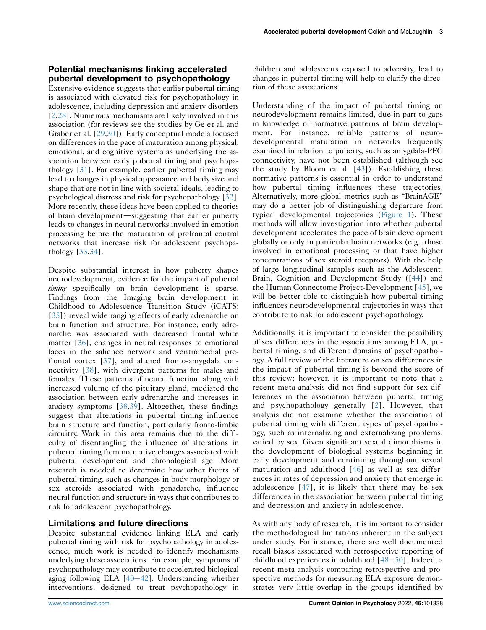## Potential mechanisms linking accelerated pubertal development to psychopathology

Extensive evidence suggests that earlier pubertal timing is associated with elevated risk for psychopathology in adolescence, including depression and anxiety disorders [\[2](#page-3-1),[28](#page-4-19)]. Numerous mechanisms are likely involved in this association (for reviews see the studies by Ge et al. and Graber et al. [[29](#page-4-20),[30](#page-4-21)]). Early conceptual models focused on differences in the pace of maturation among physical, emotional, and cognitive systems as underlying the association between early pubertal timing and psychopathology [[31\]](#page-4-22). For example, earlier pubertal timing may lead to changes in physical appearance and body size and shape that are not in line with societal ideals, leading to psychological distress and risk for psychopathology [[32](#page-4-23)]. More recently, these ideas have been applied to theories of brain development—suggesting that earlier puberty leads to changes in neural networks involved in emotion processing before the maturation of prefrontal control networks that increase risk for adolescent psychopathology [\[33](#page-5-0),[34](#page-5-1)].

Despite substantial interest in how puberty shapes neurodevelopment, evidence for the impact of pubertal timing specifically on brain development is sparse. Findings from the Imaging brain development in Childhood to Adolescence Transition Study (iCATS; [\[35\]](#page-5-2)) reveal wide ranging effects of early adrenarche on brain function and structure. For instance, early adrenarche was associated with decreased frontal white matter [[36](#page-5-3)], changes in neural responses to emotional faces in the salience network and ventromedial prefrontal cortex [\[37\]](#page-5-4), and altered fronto-amygdala connectivity [[38](#page-5-5)], with divergent patterns for males and females. These patterns of neural function, along with increased volume of the pituitary gland, mediated the association between early adrenarche and increases in anxiety symptoms [\[38](#page-5-5)[,39\]](#page-5-6). Altogether, these findings suggest that alterations in pubertal timing influence brain structure and function, particularly fronto-limbic circuitry. Work in this area remains due to the difficulty of disentangling the influence of alterations in pubertal timing from normative changes associated with pubertal development and chronological age. More research is needed to determine how other facets of pubertal timing, such as changes in body morphology or sex steroids associated with gonadarche, influence neural function and structure in ways that contributes to risk for adolescent psychopathology.

### Limitations and future directions

Despite substantial evidence linking ELA and early pubertal timing with risk for psychopathology in adolescence, much work is needed to identify mechanisms underlying these associations. For example, symptoms of psychopathology may contribute to accelerated biological aging following ELA  $[40-42]$  $[40-42]$  $[40-42]$  $[40-42]$ . Understanding whether interventions, designed to treat psychopathology in

children and adolescents exposed to adversity, lead to changes in pubertal timing will help to clarify the direction of these associations.

Understanding of the impact of pubertal timing on neurodevelopment remains limited, due in part to gaps in knowledge of normative patterns of brain development. For instance, reliable patterns of neurodevelopmental maturation in networks frequently examined in relation to puberty, such as amygdala-PFC connectivity, have not been established (although see the study by Bloom et al.  $[43]$  $[43]$  $[43]$ ). Establishing these normative patterns is essential in order to understand how pubertal timing influences these trajectories. Alternatively, more global metrics such as "BrainAGE" may do a better job of distinguishing departure from typical developmental trajectories [\(Figure 1\)](#page-3-2). These methods will allow investigation into whether pubertal development accelerates the pace of brain development globally or only in particular brain networks (e.g., those involved in emotional processing or that have higher concentrations of sex steroid receptors). With the help of large longitudinal samples such as the Adolescent, Brain, Cognition and Development Study ([\[44\]](#page-5-9)) and the Human Connectome Project-Development [[45](#page-5-10)], we will be better able to distinguish how pubertal timing influences neurodevelopmental trajectories in ways that contribute to risk for adolescent psychopathology.

Additionally, it is important to consider the possibility of sex differences in the associations among ELA, pubertal timing, and different domains of psychopathology. A full review of the literature on sex differences in the impact of pubertal timing is beyond the score of this review; however, it is important to note that a recent meta-analysis did not find support for sex differences in the association between pubertal timing and psychopathology generally [\[2\]](#page-3-1). However, that analysis did not examine whether the association of pubertal timing with different types of psychopathology, such as internalizing and externalizing problems, varied by sex. Given significant sexual dimorphisms in the development of biological systems beginning in early development and continuing throughout sexual maturation and adulthood [\[46\]](#page-5-11) as well as sex differences in rates of depression and anxiety that emerge in adolescence [\[47\]](#page-5-12), it is likely that there may be sex differences in the association between pubertal timing and depression and anxiety in adolescence.

As with any body of research, it is important to consider the methodological limitations inherent in the subject under study. For instance, there are well documented recall biases associated with retrospective reporting of childhood experiences in adulthood  $[48-50]$  $[48-50]$  $[48-50]$  $[48-50]$  $[48-50]$ . Indeed, a recent meta-analysis comparing retrospective and prospective methods for measuring ELA exposure demonstrates very little overlap in the groups identified by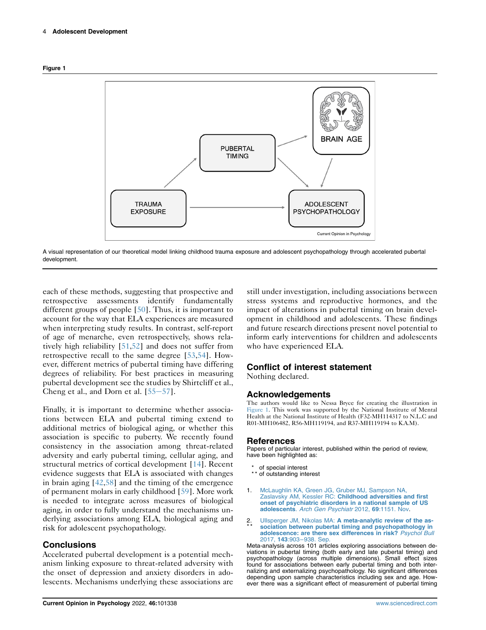<span id="page-3-2"></span>



A visual representation of our theoretical model linking childhood trauma exposure and adolescent psychopathology through accelerated pubertal development.

each of these methods, suggesting that prospective and retrospective assessments identify fundamentally different groups of people [[50](#page-5-14)]. Thus, it is important to account for the way that ELA experiences are measured when interpreting study results. In contrast, self-report of age of menarche, even retrospectively, shows relatively high reliability [\[51,](#page-5-15)[52](#page-5-16)] and does not suffer from retrospective recall to the same degree [\[53](#page-5-17),[54](#page-5-18)]. However, different metrics of pubertal timing have differing degrees of reliability. For best practices in measuring pubertal development see the studies by Shirtcliff et al., Cheng et al., and Dorn et al.  $[55-57]$  $[55-57]$  $[55-57]$ .

Finally, it is important to determine whether associations between ELA and pubertal timing extend to additional metrics of biological aging, or whether this association is specific to puberty. We recently found consistency in the association among threat-related adversity and early pubertal timing, cellular aging, and structural metrics of cortical development [[14](#page-4-8)]. Recent evidence suggests that ELA is associated with changes in brain aging [[42](#page-5-20),[58](#page-5-21)] and the timing of the emergence of permanent molars in early childhood [\[59](#page-5-22)]. More work is needed to integrate across measures of biological aging, in order to fully understand the mechanisms underlying associations among ELA, biological aging and risk for adolescent psychopathology.

### **Conclusions**

Accelerated pubertal development is a potential mechanism linking exposure to threat-related adversity with the onset of depression and anxiety disorders in adolescents. Mechanisms underlying these associations are

still under investigation, including associations between stress systems and reproductive hormones, and the impact of alterations in pubertal timing on brain development in childhood and adolescents. These findings and future research directions present novel potential to inform early interventions for children and adolescents who have experienced ELA.

### Conflict of interest statement

Nothing declared.

#### Acknowledgements

The authors would like to Nessa Bryce for creating the illustration in [Figure 1.](#page-3-2) This work was supported by the National Institute of Mental Health at the National Institute of Health (F32-MH114317 to N.L.C and R01-MH106482, R56-MH119194, and R37-MH119194 to K.A.M).

#### References

Papers of particular interest, published within the period of review, have been highlighted as:

- \* of special interest
- \*\* of outstanding interest
- <span id="page-3-0"></span>1. [McLaughlin KA, Green JG, Gruber MJ, Sampson NA,](http://refhub.elsevier.com/S2352-250X(22)00050-1/sref1) Zaslavsky AM, Kessler RC: [Childhood adversities and first](http://refhub.elsevier.com/S2352-250X(22)00050-1/sref1) [onset of psychiatric disorders in a national sample of US](http://refhub.elsevier.com/S2352-250X(22)00050-1/sref1) adolescents. [Arch Gen Psychiatr](http://refhub.elsevier.com/S2352-250X(22)00050-1/sref1) 2012, 69:1151. Nov.
- <span id="page-3-1"></span>2 \* \* Ullsperger JM, Nikolas MA: [A meta-analytic review of the as](http://refhub.elsevier.com/S2352-250X(22)00050-1/sref2)[sociation between pubertal timing and psychopathology in](http://refhub.elsevier.com/S2352-250X(22)00050-1/sref2) [adolescence: are there sex differences in risk?](http://refhub.elsevier.com/S2352-250X(22)00050-1/sref2) Psychol Bull 2017, 143:903–[938. Sep.](http://refhub.elsevier.com/S2352-250X(22)00050-1/sref2)

Meta-analysis across 101 articles exploring associations between deviations in pubertal timing (both early and late pubertal timing) and psychopathology (across multiple dimensions). Small effect sizes found for associations between early pubertal timing and both internalizing and externalizing psychopathology. No significant differences depending upon sample characteristics including sex and age. However there was a significant effect of measurement of pubertal timing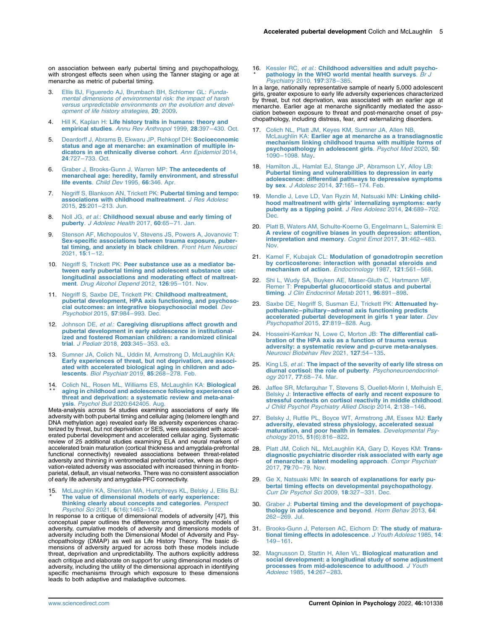on association between early pubertal timing and psychopathology, with strongest effects seen when using the Tanner staging or age at menarche as metric of pubertal timing.

- <span id="page-4-0"></span>[Ellis BJ, Figueredo AJ, Brumbach BH, Schlomer GL:](http://refhub.elsevier.com/S2352-250X(22)00050-1/sref3) Funda[mental dimensions of environmental risk: the impact of harsh](http://refhub.elsevier.com/S2352-250X(22)00050-1/sref3) [versus unpredictable environments on the evolution and devel](http://refhub.elsevier.com/S2352-250X(22)00050-1/sref3)[opment of life history strategies](http://refhub.elsevier.com/S2352-250X(22)00050-1/sref3), 20; 2009.
- <span id="page-4-1"></span>4. Hill K, Kaplan H: [Life history traits in humans: theory and](http://refhub.elsevier.com/S2352-250X(22)00050-1/sref4) empirical studies. [Annu Rev Anthropol](http://refhub.elsevier.com/S2352-250X(22)00050-1/sref4) 1999, 28:397–430. Oct.
- <span id="page-4-2"></span>5. [Deardorff J, Abrams B, Ekwaru JP, Rehkopf DH:](http://refhub.elsevier.com/S2352-250X(22)00050-1/sref5) Socioeconomic [status and age at menarche: an examination of multiple in](http://refhub.elsevier.com/S2352-250X(22)00050-1/sref5)[dicators in an ethnically diverse cohort](http://refhub.elsevier.com/S2352-250X(22)00050-1/sref5). Ann Epidemiol 2014, 24:727–[733. Oct.](http://refhub.elsevier.com/S2352-250X(22)00050-1/sref5)
- 6. [Graber J, Brooks-Gunn J, Warren MP:](http://refhub.elsevier.com/S2352-250X(22)00050-1/sref6) The antecedents of [menarcheal age: heredity, family environment, and stressful](http://refhub.elsevier.com/S2352-250X(22)00050-1/sref6) [life events](http://refhub.elsevier.com/S2352-250X(22)00050-1/sref6). Child Dev 1995, 66:346. Apr.
- <span id="page-4-5"></span>7. [Negriff S, Blankson AN, Trickett PK:](http://refhub.elsevier.com/S2352-250X(22)00050-1/sref7) Pubertal timing and tempo: [associations with childhood maltreatment](http://refhub.elsevier.com/S2352-250X(22)00050-1/sref7). J Res Adolesc 2015, 25:201–[213. Jun.](http://refhub.elsevier.com/S2352-250X(22)00050-1/sref7)
- 8. Noll JG, et al.: [Childhood sexual abuse and early timing of](http://refhub.elsevier.com/S2352-250X(22)00050-1/sref8) puberty. [J Adolesc Health](http://refhub.elsevier.com/S2352-250X(22)00050-1/sref8) 2017, 60:65–71. Jan.
- 9. [Stenson AF, Michopoulos V, Stevens JS, Powers A, Jovanovic T:](http://refhub.elsevier.com/S2352-250X(22)00050-1/sref9) [Sex-specific associations between trauma exposure, puber](http://refhub.elsevier.com/S2352-250X(22)00050-1/sref9)[tal timing, and anxiety in black children](http://refhub.elsevier.com/S2352-250X(22)00050-1/sref9). Front Hum Neurosci [2021,](http://refhub.elsevier.com/S2352-250X(22)00050-1/sref9) 15:1–12.
- <span id="page-4-3"></span>10. Negriff S, Trickett PK: [Peer substance use as a mediator be](http://refhub.elsevier.com/S2352-250X(22)00050-1/sref10)[tween early pubertal timing and adolescent substance use:](http://refhub.elsevier.com/S2352-250X(22)00050-1/sref10) longitudinal associations and moderating effect of maltreat-<br>ment. [Drug Alcohol Depend](http://refhub.elsevier.com/S2352-250X(22)00050-1/sref10) 2012, 126:95-101. Nov.
- <span id="page-4-4"></span>11. [Negriff S, Saxbe DE, Trickett PK:](http://refhub.elsevier.com/S2352-250X(22)00050-1/sref11) Childhood maltreatment, [pubertal development, HPA axis functioning, and psychoso](http://refhub.elsevier.com/S2352-250X(22)00050-1/sref11)[cial outcomes: an integrative biopsychosocial model](http://refhub.elsevier.com/S2352-250X(22)00050-1/sref11). Dev [Psychobiol](http://refhub.elsevier.com/S2352-250X(22)00050-1/sref11) 2015, 57:984–993. Dec.
- <span id="page-4-6"></span>12. Johnson DE, et al.: [Caregiving disruptions affect growth and](http://refhub.elsevier.com/S2352-250X(22)00050-1/sref12) [pubertal development in early adolescence in institutional](http://refhub.elsevier.com/S2352-250X(22)00050-1/sref12)[ized and fostered Romanian children: a randomized clinical](http://refhub.elsevier.com/S2352-250X(22)00050-1/sref12) trial. [J Pediatr](http://refhub.elsevier.com/S2352-250X(22)00050-1/sref12) 2018, 203:345–353. e3.
- <span id="page-4-7"></span>13. [Sumner JA, Colich NL, Uddin M, Armstrong D, McLaughlin KA:](http://refhub.elsevier.com/S2352-250X(22)00050-1/sref13) [Early experiences of threat, but not deprivation, are associ](http://refhub.elsevier.com/S2352-250X(22)00050-1/sref13)[ated with accelerated biological aging in children and ado](http://refhub.elsevier.com/S2352-250X(22)00050-1/sref13)lescents. [Biol Psychiatr](http://refhub.elsevier.com/S2352-250X(22)00050-1/sref13) 2019, 85:268–278. Feb.
- <span id="page-4-8"></span>14. [Colich NL, Rosen ML, Williams ES, McLaughlin KA:](http://refhub.elsevier.com/S2352-250X(22)00050-1/sref14) Biological \* \* [aging in childhood and adolescence following experiences of](http://refhub.elsevier.com/S2352-250X(22)00050-1/sref14) threat and deprivation: a systematic review and meta-anal-<br>**ysis**. *Psychol Bull* [2020:642405. Aug.](http://refhub.elsevier.com/S2352-250X(22)00050-1/sref14)

Meta-analysis across 54 studies examining associations of early life adversity with both pubertal timing and cellular aging (telomere length and DNA methylation age) revealed early life adversity experiences characterized by threat, but not deprivation or SES, were associated with accel-erated pubertal development and accelerated cellular aging. Systematic review of 25 additional studies examining ELA and neural markers of accelerated brain maturation (cortical thickness and amygdala-prefrontal functional connectivity) revealed associations between threat-related adversity and thinning in ventromedial prefrontal cortex, where as deprivation-related adversity was associated with increased thinning in frontoparietal, default, an visual networks. There was no consistent association of early life adversity and amygdala-PFC connectivity.

#### <span id="page-4-9"></span>15 . [McLaughlin KA, Sheridan MA, Humphreys KL, Belsky J, Ellis BJ:](http://refhub.elsevier.com/S2352-250X(22)00050-1/sref15) \* [The value of dimensional models of early experience:](http://refhub.elsevier.com/S2352-250X(22)00050-1/sref15) [thinking clearly about concepts and categories](http://refhub.elsevier.com/S2352-250X(22)00050-1/sref15). Perspect<br>[Psychol Sci](http://refhub.elsevier.com/S2352-250X(22)00050-1/sref15) 2021, 6(16):1463–1472.

In response to a critique of dimensional models of adversity [47], this conceptual paper outlines the difference among specificity models of adversity, cumulative models of adversity and dimensions models of adversity including both the Dimensional Model of Adversity and Psychopathology (DMAP) as well as Life History Theory. The basic dimensions of adversity argued for across both these models include threat, deprivation and unpredictability. The authors explicitly address each critique and elaborate on support for using dimensional models of adversity, including the utility of the dimensional approach in identifying specific mechanisms through which exposure to these dimensions leads to both adaptive and maladaptive outcomes.

### <span id="page-4-10"></span>16. Kessler RC, et al.: Childhood adversities and adult psycho-<br>\* [pathology in the WHO world mental health surveys](http://refhub.elsevier.com/S2352-250X(22)00050-1/sref16). Br J [Psychiatry](http://refhub.elsevier.com/S2352-250X(22)00050-1/sref16) 2010, 197:378–385.

In a large, nationally representative sample of nearly 5,000 adolescent girls, greater exposure to early life adversity experiences characterized by threat, but not deprivation, was associated with an earlier age at menarche. Earlier age at menarche significantly mediated the association between exposure to threat and post-menarche onset of psychopathology, including distress, fear, and externalizing disorders.

- <span id="page-4-11"></span>17. [Colich NL, Platt JM, Keyes KM, Sumner JA, Allen NB,](http://refhub.elsevier.com/S2352-250X(22)00050-1/sref17) McLaughlin KA: [Earlier age at menarche as a transdiagnostic](http://refhub.elsevier.com/S2352-250X(22)00050-1/sref17) [mechanism linking childhood trauma with multiple forms of](http://refhub.elsevier.com/S2352-250X(22)00050-1/sref17) [psychopathology in adolescent girls](http://refhub.elsevier.com/S2352-250X(22)00050-1/sref17). Psychol Med 2020, 50: 1090–[1098. May.](http://refhub.elsevier.com/S2352-250X(22)00050-1/sref17)
- <span id="page-4-12"></span>18. [Hamilton JL, Hamlat EJ, Stange JP, Abramson LY, Alloy LB:](http://refhub.elsevier.com/S2352-250X(22)00050-1/sref18) [Pubertal timing and vulnerabilities to depression in early](http://refhub.elsevier.com/S2352-250X(22)00050-1/sref18) [adolescence: differential pathways to depressive symptoms](http://refhub.elsevier.com/S2352-250X(22)00050-1/sref18)<br>by sex. [J Adolesc](http://refhub.elsevier.com/S2352-250X(22)00050-1/sref18) 2014, 37:165-174. Feb.
- 19. [Mendle J, Leve LD, Van Ryzin M, Natsuaki MN:](http://refhub.elsevier.com/S2352-250X(22)00050-1/sref19) Linking childhood maltreatment with girls' [internalizing symptoms: early](http://refhub.elsevier.com/S2352-250X(22)00050-1/sref19) [puberty as a tipping point](http://refhub.elsevier.com/S2352-250X(22)00050-1/sref19). J Res Adolesc 2014, 24:689-702. [Dec.](http://refhub.elsevier.com/S2352-250X(22)00050-1/sref19)
- 20. [Platt B, Waters AM, Schulte-Koerne G, Engelmann L, Salemink E:](http://refhub.elsevier.com/S2352-250X(22)00050-1/sref20) [A review of cognitive biases in youth depression: attention,](http://refhub.elsevier.com/S2352-250X(22)00050-1/sref20) [interpretation and memory](http://refhub.elsevier.com/S2352-250X(22)00050-1/sref20). Cognit Emot 2017, 31:462–483. [Nov.](http://refhub.elsevier.com/S2352-250X(22)00050-1/sref20)
- <span id="page-4-13"></span>21. Kamel F, Kubajak CL: [Modulation of gonadotropin secretion](http://refhub.elsevier.com/S2352-250X(22)00050-1/sref21) [by corticosterone: interaction with gonadal steroids and](http://refhub.elsevier.com/S2352-250X(22)00050-1/sref21) [mechanism of action](http://refhub.elsevier.com/S2352-250X(22)00050-1/sref21). Endocrinology 1987, 121:561-568.
- <span id="page-4-14"></span>22. [Shi L, Wudy SA, Buyken AE, Maser-Gluth C, Hartmann MF,](http://refhub.elsevier.com/S2352-250X(22)00050-1/sref22) Remer T: [Prepubertal glucocorticoid status and pubertal](http://refhub.elsevier.com/S2352-250X(22)00050-1/sref22) timing. [J Clin Endocrinol Metab](http://refhub.elsevier.com/S2352-250X(22)00050-1/sref22) 2011, 96:891-898.
- <span id="page-4-15"></span>23. [Saxbe DE, Negriff S, Susman EJ, Trickett PK:](http://refhub.elsevier.com/S2352-250X(22)00050-1/sref23) Attenuated hypothalamic–pituitary–[adrenal axis functioning predicts](http://refhub.elsevier.com/S2352-250X(22)00050-1/sref23) [accelerated pubertal development in girls 1 year later](http://refhub.elsevier.com/S2352-250X(22)00050-1/sref23). Dev [Psychopathol](http://refhub.elsevier.com/S2352-250X(22)00050-1/sref23) 2015, 27:819–828. Aug.
- <span id="page-4-16"></span>24. [Hosseini-Kamkar N, Lowe C, Morton JB:](http://refhub.elsevier.com/S2352-250X(22)00050-1/sref24) The differential cali[bration of the HPA axis as a function of trauma versus](http://refhub.elsevier.com/S2352-250X(22)00050-1/sref24) [adversity: a systematic review and p-curve meta-analyses](http://refhub.elsevier.com/S2352-250X(22)00050-1/sref24). [Neurosci Biobehav Rev](http://refhub.elsevier.com/S2352-250X(22)00050-1/sref24) 2021, 127:54–135.
- <span id="page-4-17"></span>25. King LS, et al.: [The impact of the severity of early life stress on](http://refhub.elsevier.com/S2352-250X(22)00050-1/sref25) [diurnal cortisol: the role of puberty](http://refhub.elsevier.com/S2352-250X(22)00050-1/sref25). Psychoneuroendocrinology 2017, 77:68–[74. Mar.](http://refhub.elsevier.com/S2352-250X(22)00050-1/sref25)
- <span id="page-4-18"></span>26. [Jaffee SR, Mcfarquhar T, Stevens S, Ouellet-Morin I, Melhuish E,](http://refhub.elsevier.com/S2352-250X(22)00050-1/sref26) Belsky J: [Interactive effects of early and recent exposure to](http://refhub.elsevier.com/S2352-250X(22)00050-1/sref26) [stressful contexts on cortisol reactivity in middle childhood](http://refhub.elsevier.com/S2352-250X(22)00050-1/sref26). [J Child Psychol Psychiatry Allied Discip](http://refhub.elsevier.com/S2352-250X(22)00050-1/sref26) 2014, 2:138-146.
- 27. [Belsky J, Ruttle PL, Boyce WT, Armstrong JM, Essex MJ:](http://refhub.elsevier.com/S2352-250X(22)00050-1/optG0Zs9WdGO3) Early [adversity, elevated stress physiology, accelerated sexual](http://refhub.elsevier.com/S2352-250X(22)00050-1/optG0Zs9WdGO3)<br>[maturation, and poor health in females](http://refhub.elsevier.com/S2352-250X(22)00050-1/optG0Zs9WdGO3). Developmental Psy[chology](http://refhub.elsevier.com/S2352-250X(22)00050-1/optG0Zs9WdGO3) 2015, 51(6):816–822.
- <span id="page-4-19"></span>28. [Platt JM, Colich NL, McLaughlin KA, Gary D, Keyes KM:](http://refhub.elsevier.com/S2352-250X(22)00050-1/sref28) Trans[diagnostic psychiatric disorder risk associated with early age](http://refhub.elsevier.com/S2352-250X(22)00050-1/sref28) [of menarche: a latent modeling approach](http://refhub.elsevier.com/S2352-250X(22)00050-1/sref28). Compr Psychiatr 2017, 79:70–[79. Nov.](http://refhub.elsevier.com/S2352-250X(22)00050-1/sref28)
- <span id="page-4-20"></span>29. Ge X, Natsuaki MN: [In search of explanations for early pu](http://refhub.elsevier.com/S2352-250X(22)00050-1/sref29)[bertal timing effects on developmental psychopathology](http://refhub.elsevier.com/S2352-250X(22)00050-1/sref29). [Curr Dir Psychol Sci](http://refhub.elsevier.com/S2352-250X(22)00050-1/sref29) 2009, 18:327–331. Dec.
- <span id="page-4-21"></span>30. Graber J: [Pubertal timing and the development of psychopa](http://refhub.elsevier.com/S2352-250X(22)00050-1/sref30)[thology in adolescence and beyond](http://refhub.elsevier.com/S2352-250X(22)00050-1/sref30). Horm Behav 2013, 64: 262–[269. Jul.](http://refhub.elsevier.com/S2352-250X(22)00050-1/sref30)
- <span id="page-4-22"></span>31. [Brooks-Gunn J, Petersen AC, Eichorn D:](http://refhub.elsevier.com/S2352-250X(22)00050-1/sref31) The study of matura[tional timing effects in adolescence](http://refhub.elsevier.com/S2352-250X(22)00050-1/sref31). J Youth Adolesc 1985, 14: 149–[161.](http://refhub.elsevier.com/S2352-250X(22)00050-1/sref31)
- <span id="page-4-23"></span>32. [Magnusson D, Stattin H, Allen VL:](http://refhub.elsevier.com/S2352-250X(22)00050-1/sref32) Biological maturation and [social development: a longitudinal study of some adjustment](http://refhub.elsevier.com/S2352-250X(22)00050-1/sref32) [processes from mid-adolescence to adulthood](http://refhub.elsevier.com/S2352-250X(22)00050-1/sref32). J Youth [Adolesc](http://refhub.elsevier.com/S2352-250X(22)00050-1/sref32) 1985, 14:267–283.